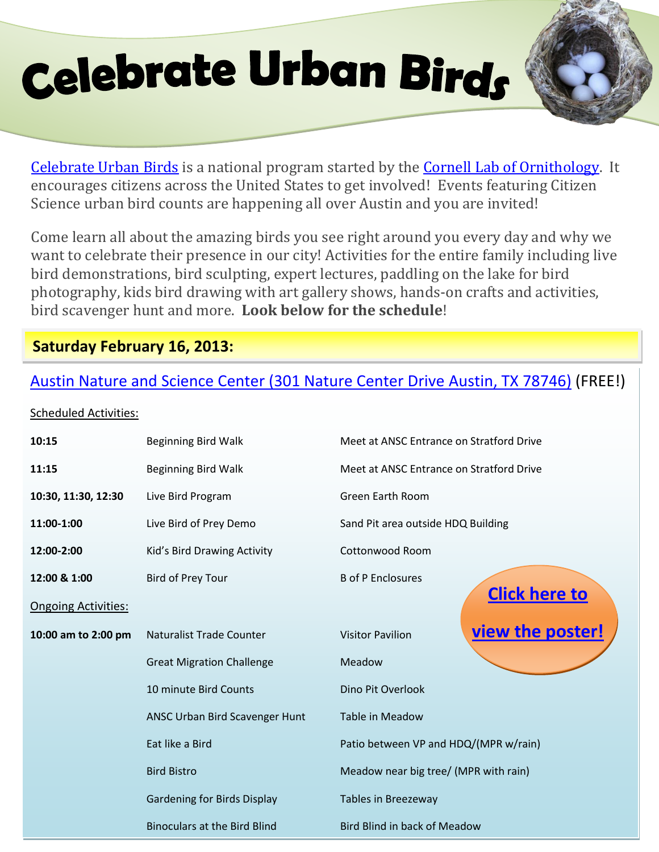# **Celebrate Urban Birds**



[Celebrate Urban Birds](http://http/celebrateurbanbirds.org/) is a national program started by the [Cornell Lab of Ornithology.](http://www.birds.cornell.edu/Page.aspx?pid=1478) It encourages citizens across the United States to get involved! Events featuring Citizen Science urban bird counts are happening all over Austin and you are invited!

Come learn all about the amazing birds you see right around you every day and why we want to celebrate their presence in our city! Activities for the entire family including live bird demonstrations, bird sculpting, expert lectures, paddling on the lake for bird photography, kids bird drawing with art gallery shows, hands-on crafts and activities, bird scavenger hunt and more. **Look below for the schedule**!

## **Saturday February 16, 2013:**

# [Austin Nature and Science Center \(301 Nature Center Drive](http://www.austintexas.gov/department/austin-nature-science-center) Austin, TX 78746) (FREE!)

#### Scheduled Activities:

| 10:15                      | Beginning Bird Walk                 | Meet at ANSC Entrance on Stratford Drive    |
|----------------------------|-------------------------------------|---------------------------------------------|
| 11:15                      | Beginning Bird Walk                 | Meet at ANSC Entrance on Stratford Drive    |
| 10:30, 11:30, 12:30        | Live Bird Program                   | <b>Green Earth Room</b>                     |
| 11:00-1:00                 | Live Bird of Prey Demo              | Sand Pit area outside HDQ Building          |
| 12:00-2:00                 | Kid's Bird Drawing Activity         | Cottonwood Room                             |
| 12:00 & 1:00               | <b>Bird of Prey Tour</b>            | <b>B</b> of P Enclosures                    |
| <b>Ongoing Activities:</b> |                                     | <b>Click here to</b>                        |
| 10:00 am to 2:00 pm        | Naturalist Trade Counter            | view the poster!<br><b>Visitor Pavilion</b> |
|                            | <b>Great Migration Challenge</b>    | Meadow                                      |
|                            | 10 minute Bird Counts               | Dino Pit Overlook                           |
|                            | ANSC Urban Bird Scavenger Hunt      | Table in Meadow                             |
|                            | Eat like a Bird                     | Patio between VP and HDQ/(MPR w/rain)       |
|                            | <b>Bird Bistro</b>                  | Meadow near big tree/ (MPR with rain)       |
|                            | <b>Gardening for Birds Display</b>  | Tables in Breezeway                         |
|                            | <b>Binoculars at the Bird Blind</b> | <b>Bird Blind in back of Meadow</b>         |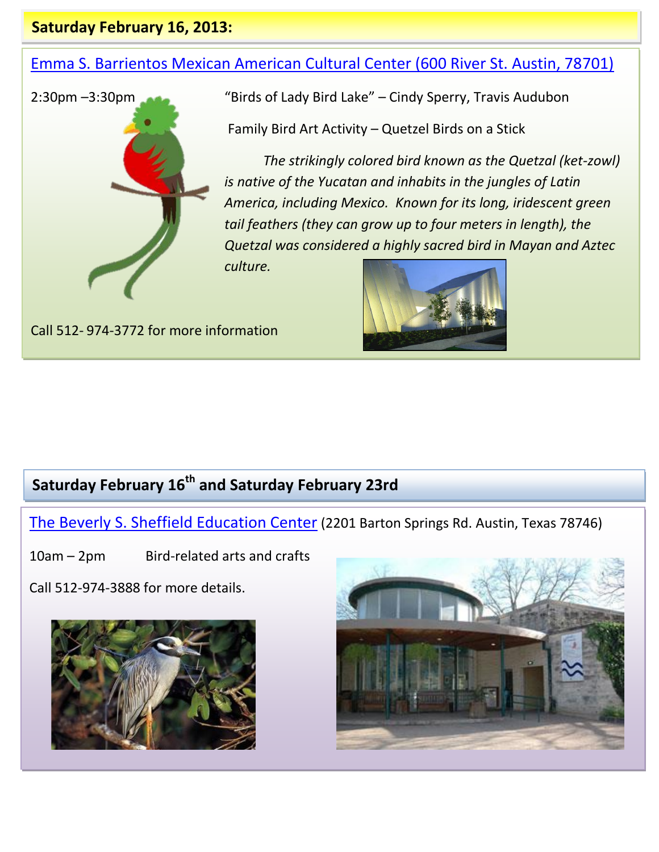#### **Saturday February 16, 2013:**

## [Emma S. Barrientos Mexican American Cultural Center \(600 River St. Austin, 78701\)](http://www.austintexas.gov/department/emma-s-barrientos-mexican-american-cultural-center)



2:30pm –3:30pm "Birds of Lady Bird Lake" – Cindy Sperry, Travis Audubon

Family Bird Art Activity – Quetzel Birds on a Stick

*The strikingly colored bird known as the Quetzal (ket-zowl) is native of the Yucatan and inhabits in the jungles of Latin America, including Mexico. Known for its long, iridescent green tail feathers (they can grow up to four meters in length), the Quetzal was considered a highly sacred bird in Mayan and Aztec culture.*

Call 512- 974-3772 for more information



# **Saturday February 16th and Saturday February 23rd**

[The Beverly S. Sheffield Education Center](http://austintexas.gov/department/beverly-s-sheffield-education-center) (2201 Barton Springs Rd. Austin, Texas 78746)

10am – 2pm Bird-related arts and crafts

Call 512-974-3888 for more details.